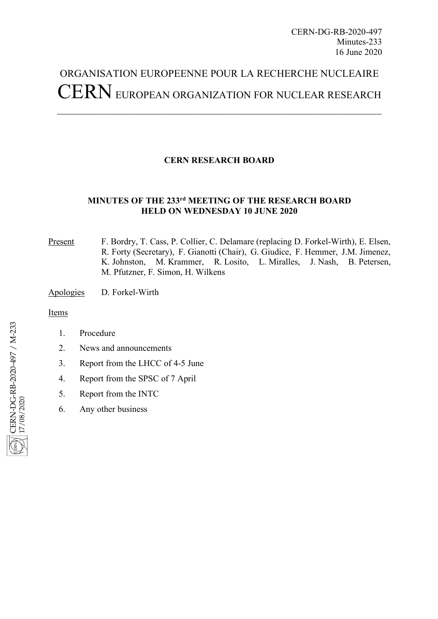# ORGANISATION EUROPEENNE POUR LA RECHERCHE NUCLEAIRE CERNEUROPEAN ORGANIZATION FOR NUCLEAR RESEARCH

## **CERN RESEARCH BOARD**

### **MINUTES OF THE 233rd MEETING OF THE RESEARCH BOARD HELD ON WEDNESDAY 10 JUNE 2020**

Present F. Bordry, T. Cass, P. Collier, C. Delamare (replacing D. Forkel-Wirth), E. Elsen, R. Forty (Secretary), F. Gianotti (Chair), G. Giudice, F. Hemmer, J.M. Jimenez, K. Johnston, M. Krammer, R. Losito, L. Miralles, J. Nash, B. Petersen, M. Pfutzner, F. Simon, H. Wilkens

Apologies D. Forkel-Wirth

Items

- CERN-DG-RB-2020-497 / M-233 CERN-DG-RB-2020-497 / M-233 17/08/2020
- 1. Procedure
- 2. News and announcements
- 3. Report from the LHCC of 4-5 June
- 4. Report from the SPSC of 7 April
- 5. Report from the INTC
- 6. Any other business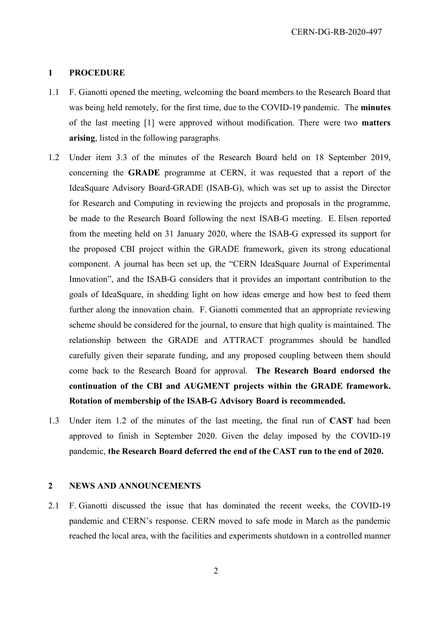#### **1 PROCEDURE**

- 1.1 F. Gianotti opened the meeting, welcoming the board members to the Research Board that was being held remotely, for the first time, due to the COVID-19 pandemic. The **minutes** of the last meeting [1] were approved without modification. There were two **matters arising**, listed in the following paragraphs.
- 1.2 Under item 3.3 of the minutes of the Research Board held on 18 September 2019, concerning the **GRADE** programme at CERN, it was requested that a report of the IdeaSquare Advisory Board-GRADE (ISAB-G), which was set up to assist the Director for Research and Computing in reviewing the projects and proposals in the programme, be made to the Research Board following the next ISAB-G meeting. E. Elsen reported from the meeting held on 31 January 2020, where the ISAB-G expressed its support for the proposed CBI project within the GRADE framework, given its strong educational component. A journal has been set up, the "CERN IdeaSquare Journal of Experimental Innovation", and the ISAB-G considers that it provides an important contribution to the goals of IdeaSquare, in shedding light on how ideas emerge and how best to feed them further along the innovation chain. F. Gianotti commented that an appropriate reviewing scheme should be considered for the journal, to ensure that high quality is maintained. The relationship between the GRADE and ATTRACT programmes should be handled carefully given their separate funding, and any proposed coupling between them should come back to the Research Board for approval. **The Research Board endorsed the continuation of the CBI and AUGMENT projects within the GRADE framework. Rotation of membership of the ISAB-G Advisory Board is recommended.**
- 1.3 Under item 1.2 of the minutes of the last meeting, the final run of **CAST** had been approved to finish in September 2020. Given the delay imposed by the COVID-19 pandemic, **the Research Board deferred the end of the CAST run to the end of 2020.**

#### **2 NEWS AND ANNOUNCEMENTS**

2.1 F. Gianotti discussed the issue that has dominated the recent weeks, the COVID-19 pandemic and CERN's response. CERN moved to safe mode in March as the pandemic reached the local area, with the facilities and experiments shutdown in a controlled manner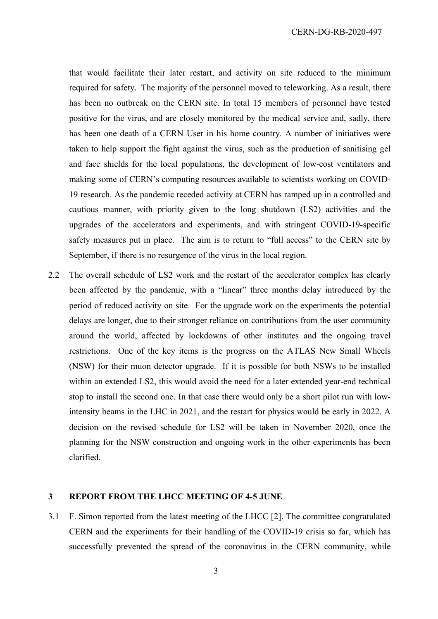that would facilitate their later restart, and activity on site reduced to the minimum required for safety. The majority of the personnel moved to teleworking. As a result, there has been no outbreak on the CERN site. In total 15 members of personnel have tested positive for the virus, and are closely monitored by the medical service and, sadly, there has been one death of a CERN User in his home country. A number of initiatives were taken to help support the fight against the virus, such as the production of sanitising gel and face shields for the local populations, the development of low-cost ventilators and making some of CERN's computing resources available to scientists working on COVID-19 research. As the pandemic receded activity at CERN has ramped up in a controlled and cautious manner, with priority given to the long shutdown (LS2) activities and the upgrades of the accelerators and experiments, and with stringent COVID-19-specific safety measures put in place. The aim is to return to "full access" to the CERN site by September, if there is no resurgence of the virus in the local region.

2.2 The overall schedule of LS2 work and the restart of the accelerator complex has clearly been affected by the pandemic, with a "linear" three months delay introduced by the period of reduced activity on site. For the upgrade work on the experiments the potential delays are longer, due to their stronger reliance on contributions from the user community around the world, affected by lockdowns of other institutes and the ongoing travel restrictions. One of the key items is the progress on the ATLAS New Small Wheels (NSW) for their muon detector upgrade. If it is possible for both NSWs to be installed within an extended LS2, this would avoid the need for a later extended year-end technical stop to install the second one. In that case there would only be a short pilot run with lowintensity beams in the LHC in 2021, and the restart for physics would be early in 2022. A decision on the revised schedule for LS2 will be taken in November 2020, once the planning for the NSW construction and ongoing work in the other experiments has been clarified.

#### **3 REPORT FROM THE LHCC MEETING OF 4-5 JUNE**

3.1 F. Simon reported from the latest meeting of the LHCC [2]. The committee congratulated CERN and the experiments for their handling of the COVID-19 crisis so far, which has successfully prevented the spread of the coronavirus in the CERN community, while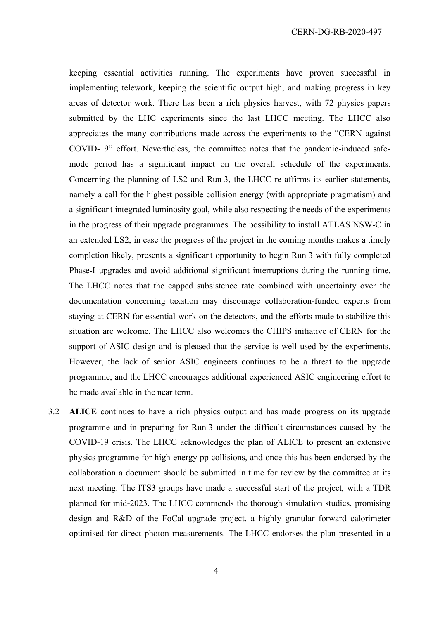keeping essential activities running. The experiments have proven successful in implementing telework, keeping the scientific output high, and making progress in key areas of detector work. There has been a rich physics harvest, with 72 physics papers submitted by the LHC experiments since the last LHCC meeting. The LHCC also appreciates the many contributions made across the experiments to the "CERN against COVID-19" effort. Nevertheless, the committee notes that the pandemic-induced safemode period has a significant impact on the overall schedule of the experiments. Concerning the planning of LS2 and Run 3, the LHCC re-affirms its earlier statements, namely a call for the highest possible collision energy (with appropriate pragmatism) and a significant integrated luminosity goal, while also respecting the needs of the experiments in the progress of their upgrade programmes. The possibility to install ATLAS NSW-C in an extended LS2, in case the progress of the project in the coming months makes a timely completion likely, presents a significant opportunity to begin Run 3 with fully completed Phase-I upgrades and avoid additional significant interruptions during the running time. The LHCC notes that the capped subsistence rate combined with uncertainty over the documentation concerning taxation may discourage collaboration-funded experts from staying at CERN for essential work on the detectors, and the efforts made to stabilize this situation are welcome. The LHCC also welcomes the CHIPS initiative of CERN for the support of ASIC design and is pleased that the service is well used by the experiments. However, the lack of senior ASIC engineers continues to be a threat to the upgrade programme, and the LHCC encourages additional experienced ASIC engineering effort to be made available in the near term.

3.2 **ALICE** continues to have a rich physics output and has made progress on its upgrade programme and in preparing for Run 3 under the difficult circumstances caused by the COVID-19 crisis. The LHCC acknowledges the plan of ALICE to present an extensive physics programme for high-energy pp collisions, and once this has been endorsed by the collaboration a document should be submitted in time for review by the committee at its next meeting. The ITS3 groups have made a successful start of the project, with a TDR planned for mid-2023. The LHCC commends the thorough simulation studies, promising design and R&D of the FoCal upgrade project, a highly granular forward calorimeter optimised for direct photon measurements. The LHCC endorses the plan presented in a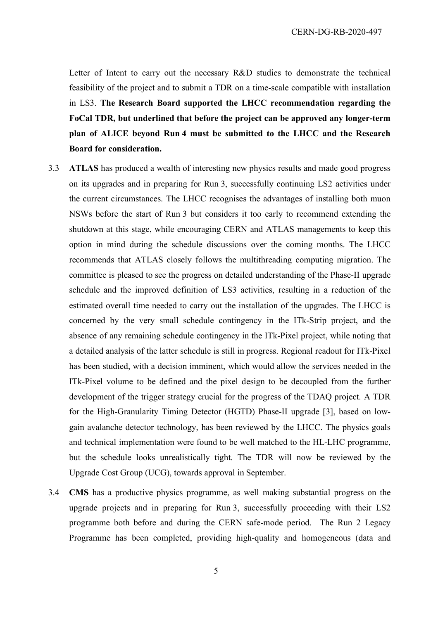Letter of Intent to carry out the necessary R&D studies to demonstrate the technical feasibility of the project and to submit a TDR on a time-scale compatible with installation in LS3. **The Research Board supported the LHCC recommendation regarding the FoCal TDR, but underlined that before the project can be approved any longer-term plan of ALICE beyond Run 4 must be submitted to the LHCC and the Research Board for consideration.** 

- 3.3 **ATLAS** has produced a wealth of interesting new physics results and made good progress on its upgrades and in preparing for Run 3, successfully continuing LS2 activities under the current circumstances. The LHCC recognises the advantages of installing both muon NSWs before the start of Run 3 but considers it too early to recommend extending the shutdown at this stage, while encouraging CERN and ATLAS managements to keep this option in mind during the schedule discussions over the coming months. The LHCC recommends that ATLAS closely follows the multithreading computing migration. The committee is pleased to see the progress on detailed understanding of the Phase-II upgrade schedule and the improved definition of LS3 activities, resulting in a reduction of the estimated overall time needed to carry out the installation of the upgrades. The LHCC is concerned by the very small schedule contingency in the ITk-Strip project, and the absence of any remaining schedule contingency in the ITk-Pixel project, while noting that a detailed analysis of the latter schedule is still in progress. Regional readout for ITk-Pixel has been studied, with a decision imminent, which would allow the services needed in the ITk-Pixel volume to be defined and the pixel design to be decoupled from the further development of the trigger strategy crucial for the progress of the TDAQ project. A TDR for the High-Granularity Timing Detector (HGTD) Phase-II upgrade [3], based on lowgain avalanche detector technology, has been reviewed by the LHCC. The physics goals and technical implementation were found to be well matched to the HL-LHC programme, but the schedule looks unrealistically tight. The TDR will now be reviewed by the Upgrade Cost Group (UCG), towards approval in September.
- 3.4 **CMS** has a productive physics programme, as well making substantial progress on the upgrade projects and in preparing for Run 3, successfully proceeding with their LS2 programme both before and during the CERN safe-mode period. The Run 2 Legacy Programme has been completed, providing high-quality and homogeneous (data and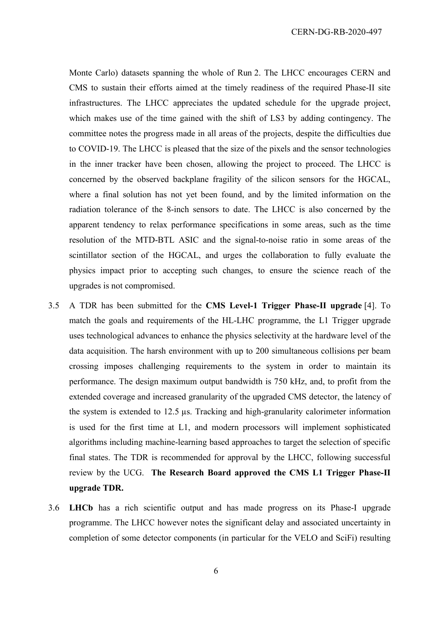Monte Carlo) datasets spanning the whole of Run 2. The LHCC encourages CERN and CMS to sustain their efforts aimed at the timely readiness of the required Phase-II site infrastructures. The LHCC appreciates the updated schedule for the upgrade project, which makes use of the time gained with the shift of LS3 by adding contingency. The committee notes the progress made in all areas of the projects, despite the difficulties due to COVID-19. The LHCC is pleased that the size of the pixels and the sensor technologies in the inner tracker have been chosen, allowing the project to proceed. The LHCC is concerned by the observed backplane fragility of the silicon sensors for the HGCAL, where a final solution has not yet been found, and by the limited information on the radiation tolerance of the 8-inch sensors to date. The LHCC is also concerned by the apparent tendency to relax performance specifications in some areas, such as the time resolution of the MTD-BTL ASIC and the signal-to-noise ratio in some areas of the scintillator section of the HGCAL, and urges the collaboration to fully evaluate the physics impact prior to accepting such changes, to ensure the science reach of the upgrades is not compromised.

- 3.5 A TDR has been submitted for the **CMS Level-1 Trigger Phase-II upgrade** [4]. To match the goals and requirements of the HL-LHC programme, the L1 Trigger upgrade uses technological advances to enhance the physics selectivity at the hardware level of the data acquisition. The harsh environment with up to 200 simultaneous collisions per beam crossing imposes challenging requirements to the system in order to maintain its performance. The design maximum output bandwidth is 750 kHz, and, to profit from the extended coverage and increased granularity of the upgraded CMS detector, the latency of the system is extended to 12.5 µs. Tracking and high-granularity calorimeter information is used for the first time at L1, and modern processors will implement sophisticated algorithms including machine-learning based approaches to target the selection of specific final states. The TDR is recommended for approval by the LHCC, following successful review by the UCG. **The Research Board approved the CMS L1 Trigger Phase-II upgrade TDR.**
- 3.6 **LHCb** has a rich scientific output and has made progress on its Phase-I upgrade programme. The LHCC however notes the significant delay and associated uncertainty in completion of some detector components (in particular for the VELO and SciFi) resulting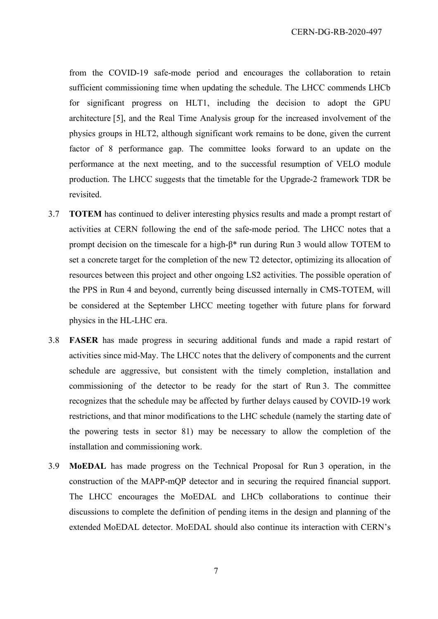from the COVID-19 safe-mode period and encourages the collaboration to retain sufficient commissioning time when updating the schedule. The LHCC commends LHCb for significant progress on HLT1, including the decision to adopt the GPU architecture [5], and the Real Time Analysis group for the increased involvement of the physics groups in HLT2, although significant work remains to be done, given the current factor of 8 performance gap. The committee looks forward to an update on the performance at the next meeting, and to the successful resumption of VELO module production. The LHCC suggests that the timetable for the Upgrade-2 framework TDR be revisited.

- 3.7 **TOTEM** has continued to deliver interesting physics results and made a prompt restart of activities at CERN following the end of the safe-mode period. The LHCC notes that a prompt decision on the timescale for a high-β\* run during Run 3 would allow TOTEM to set a concrete target for the completion of the new T2 detector, optimizing its allocation of resources between this project and other ongoing LS2 activities. The possible operation of the PPS in Run 4 and beyond, currently being discussed internally in CMS-TOTEM, will be considered at the September LHCC meeting together with future plans for forward physics in the HL-LHC era.
- 3.8 **FASER** has made progress in securing additional funds and made a rapid restart of activities since mid-May. The LHCC notes that the delivery of components and the current schedule are aggressive, but consistent with the timely completion, installation and commissioning of the detector to be ready for the start of Run 3. The committee recognizes that the schedule may be affected by further delays caused by COVID-19 work restrictions, and that minor modifications to the LHC schedule (namely the starting date of the powering tests in sector 81) may be necessary to allow the completion of the installation and commissioning work.
- 3.9 **MoEDAL** has made progress on the Technical Proposal for Run 3 operation, in the construction of the MAPP-mQP detector and in securing the required financial support. The LHCC encourages the MoEDAL and LHCb collaborations to continue their discussions to complete the definition of pending items in the design and planning of the extended MoEDAL detector. MoEDAL should also continue its interaction with CERN's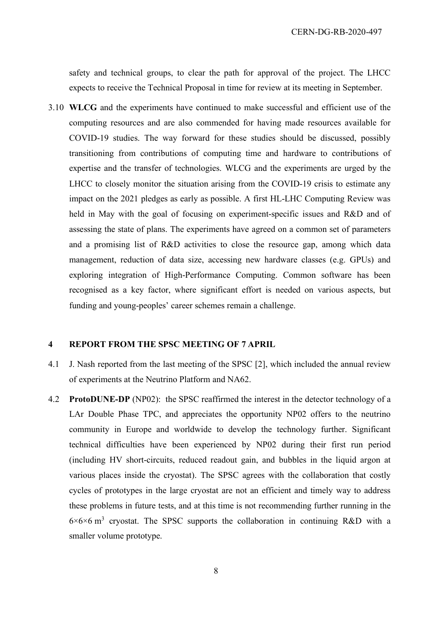safety and technical groups, to clear the path for approval of the project. The LHCC expects to receive the Technical Proposal in time for review at its meeting in September.

3.10 **WLCG** and the experiments have continued to make successful and efficient use of the computing resources and are also commended for having made resources available for COVID-19 studies. The way forward for these studies should be discussed, possibly transitioning from contributions of computing time and hardware to contributions of expertise and the transfer of technologies. WLCG and the experiments are urged by the LHCC to closely monitor the situation arising from the COVID-19 crisis to estimate any impact on the 2021 pledges as early as possible. A first HL-LHC Computing Review was held in May with the goal of focusing on experiment-specific issues and R&D and of assessing the state of plans. The experiments have agreed on a common set of parameters and a promising list of R&D activities to close the resource gap, among which data management, reduction of data size, accessing new hardware classes (e.g. GPUs) and exploring integration of High-Performance Computing. Common software has been recognised as a key factor, where significant effort is needed on various aspects, but funding and young-peoples' career schemes remain a challenge.

#### **4 REPORT FROM THE SPSC MEETING OF 7 APRIL**

- 4.1 J. Nash reported from the last meeting of the SPSC [2], which included the annual review of experiments at the Neutrino Platform and NA62.
- 4.2 **ProtoDUNE-DP** (NP02): the SPSC reaffirmed the interest in the detector technology of a LAr Double Phase TPC, and appreciates the opportunity NP02 offers to the neutrino community in Europe and worldwide to develop the technology further. Significant technical difficulties have been experienced by NP02 during their first run period (including HV short-circuits, reduced readout gain, and bubbles in the liquid argon at various places inside the cryostat). The SPSC agrees with the collaboration that costly cycles of prototypes in the large cryostat are not an efficient and timely way to address these problems in future tests, and at this time is not recommending further running in the  $6\times6\times6$  m<sup>3</sup> cryostat. The SPSC supports the collaboration in continuing R&D with a smaller volume prototype.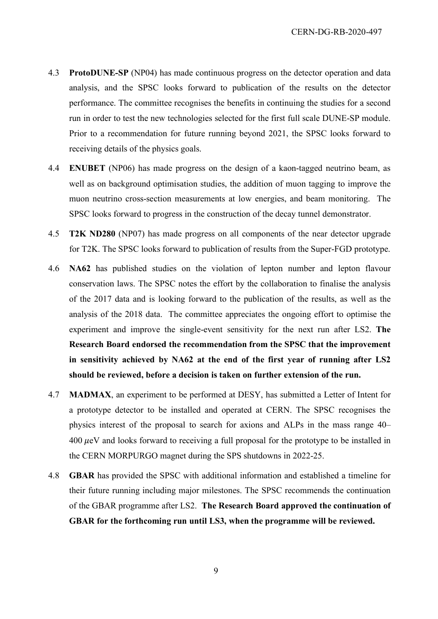- 4.3 **ProtoDUNE-SP** (NP04) has made continuous progress on the detector operation and data analysis, and the SPSC looks forward to publication of the results on the detector performance. The committee recognises the benefits in continuing the studies for a second run in order to test the new technologies selected for the first full scale DUNE-SP module. Prior to a recommendation for future running beyond 2021, the SPSC looks forward to receiving details of the physics goals.
- 4.4 **ENUBET** (NP06) has made progress on the design of a kaon-tagged neutrino beam, as well as on background optimisation studies, the addition of muon tagging to improve the muon neutrino cross-section measurements at low energies, and beam monitoring. The SPSC looks forward to progress in the construction of the decay tunnel demonstrator.
- 4.5 **T2K ND280** (NP07) has made progress on all components of the near detector upgrade for T2K. The SPSC looks forward to publication of results from the Super-FGD prototype.
- 4.6 **NA62** has published studies on the violation of lepton number and lepton flavour conservation laws. The SPSC notes the effort by the collaboration to finalise the analysis of the 2017 data and is looking forward to the publication of the results, as well as the analysis of the 2018 data. The committee appreciates the ongoing effort to optimise the experiment and improve the single-event sensitivity for the next run after LS2. **The Research Board endorsed the recommendation from the SPSC that the improvement in sensitivity achieved by NA62 at the end of the first year of running after LS2 should be reviewed, before a decision is taken on further extension of the run.**
- 4.7 **MADMAX**, an experiment to be performed at DESY, has submitted a Letter of Intent for a prototype detector to be installed and operated at CERN. The SPSC recognises the physics interest of the proposal to search for axions and ALPs in the mass range 40–  $400 \mu$ eV and looks forward to receiving a full proposal for the prototype to be installed in the CERN MORPURGO magnet during the SPS shutdowns in 2022-25.
- 4.8 **GBAR** has provided the SPSC with additional information and established a timeline for their future running including major milestones. The SPSC recommends the continuation of the GBAR programme after LS2. **The Research Board approved the continuation of GBAR for the forthcoming run until LS3, when the programme will be reviewed.**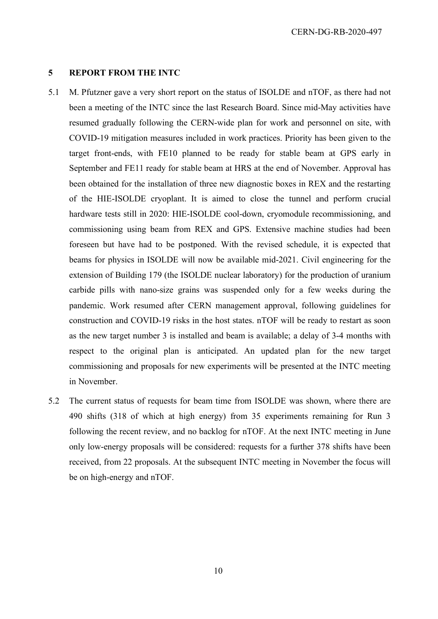#### **5 REPORT FROM THE INTC**

- 5.1 M. Pfutzner gave a very short report on the status of ISOLDE and nTOF, as there had not been a meeting of the INTC since the last Research Board. Since mid-May activities have resumed gradually following the CERN-wide plan for work and personnel on site, with COVID-19 mitigation measures included in work practices. Priority has been given to the target front-ends, with FE10 planned to be ready for stable beam at GPS early in September and FE11 ready for stable beam at HRS at the end of November. Approval has been obtained for the installation of three new diagnostic boxes in REX and the restarting of the HIE-ISOLDE cryoplant. It is aimed to close the tunnel and perform crucial hardware tests still in 2020: HIE-ISOLDE cool-down, cryomodule recommissioning, and commissioning using beam from REX and GPS. Extensive machine studies had been foreseen but have had to be postponed. With the revised schedule, it is expected that beams for physics in ISOLDE will now be available mid-2021. Civil engineering for the extension of Building 179 (the ISOLDE nuclear laboratory) for the production of uranium carbide pills with nano-size grains was suspended only for a few weeks during the pandemic. Work resumed after CERN management approval, following guidelines for construction and COVID-19 risks in the host states. nTOF will be ready to restart as soon as the new target number 3 is installed and beam is available; a delay of 3-4 months with respect to the original plan is anticipated. An updated plan for the new target commissioning and proposals for new experiments will be presented at the INTC meeting in November.
- 5.2 The current status of requests for beam time from ISOLDE was shown, where there are 490 shifts (318 of which at high energy) from 35 experiments remaining for Run 3 following the recent review, and no backlog for nTOF. At the next INTC meeting in June only low-energy proposals will be considered: requests for a further 378 shifts have been received, from 22 proposals. At the subsequent INTC meeting in November the focus will be on high-energy and nTOF.